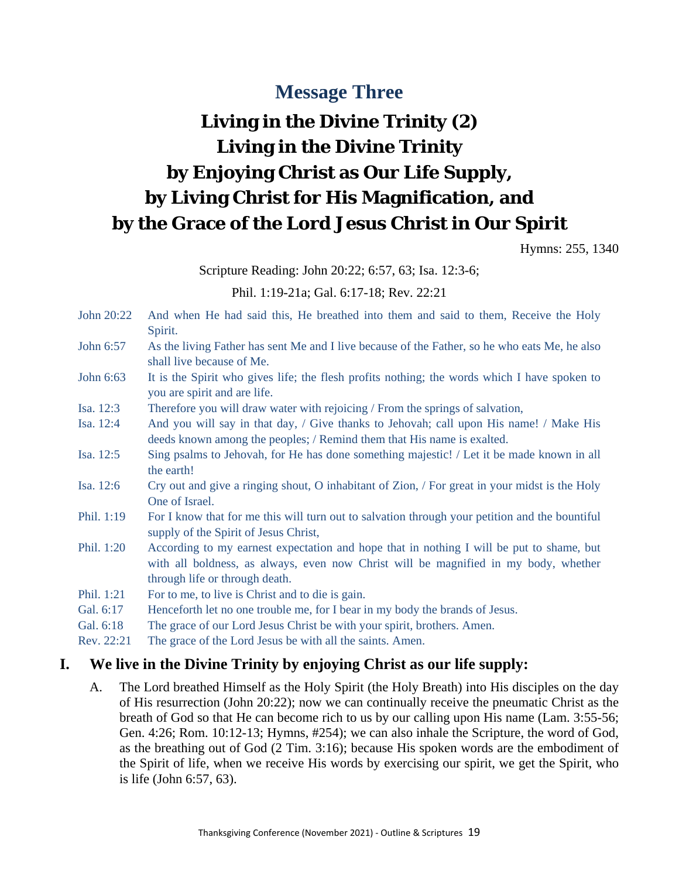# **Message Three**

# **Living in the Divine Trinity (2) Living in the Divine Trinity by Enjoying Christ as Our Life Supply, by Living Christ for His Magnification, and by the Grace of the Lord Jesus Christ in Our Spirit**

Hymns: 255, 1340

Scripture Reading: John 20:22; 6:57, 63; Isa. 12:3-6;

Phil. 1:19-21a; Gal. 6:17-18; Rev. 22:21

- John 20:22 And when He had said this, He breathed into them and said to them, Receive the Holy Spirit.
- John 6:57 As the living Father has sent Me and I live because of the Father, so he who eats Me, he also shall live because of Me.
- John 6:63 It is the Spirit who gives life; the flesh profits nothing; the words which I have spoken to you are spirit and are life.
- Isa. 12:3 Therefore you will draw water with rejoicing / From the springs of salvation,
- Isa. 12:4 And you will say in that day, / Give thanks to Jehovah; call upon His name! / Make His deeds known among the peoples; / Remind them that His name is exalted.
- Isa. 12:5 Sing psalms to Jehovah, for He has done something majestic! / Let it be made known in all the earth!
- Isa. 12:6 Cry out and give a ringing shout, O inhabitant of Zion, / For great in your midst is the Holy One of Israel.
- Phil. 1:19 For I know that for me this will turn out to salvation through your petition and the bountiful supply of the Spirit of Jesus Christ,
- Phil. 1:20 According to my earnest expectation and hope that in nothing I will be put to shame, but with all boldness, as always, even now Christ will be magnified in my body, whether through life or through death.
- Phil. 1:21 For to me, to live is Christ and to die is gain.
- Gal. 6:17 Henceforth let no one trouble me, for I bear in my body the brands of Jesus.
- Gal. 6:18 The grace of our Lord Jesus Christ be with your spirit, brothers. Amen.
- Rev. 22:21 The grace of the Lord Jesus be with all the saints. Amen.

#### **I. We live in the Divine Trinity by enjoying Christ as our life supply:**

A. The Lord breathed Himself as the Holy Spirit (the Holy Breath) into His disciples on the day of His resurrection (John 20:22); now we can continually receive the pneumatic Christ as the breath of God so that He can become rich to us by our calling upon His name (Lam. 3:55-56; Gen. 4:26; Rom. 10:12-13; Hymns, #254); we can also inhale the Scripture, the word of God, as the breathing out of God (2 Tim. 3:16); because His spoken words are the embodiment of the Spirit of life, when we receive His words by exercising our spirit, we get the Spirit, who is life (John 6:57, 63).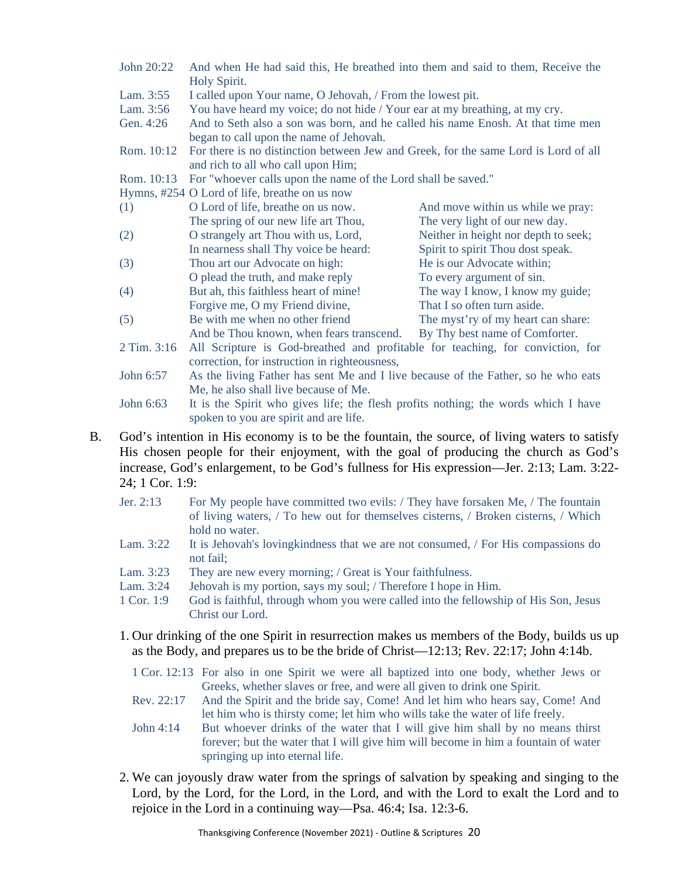- John 20:22 And when He had said this, He breathed into them and said to them, Receive the Holy Spirit.
- Lam. 3:55 I called upon Your name, O Jehovah, / From the lowest pit.
- Lam. 3:56 You have heard my voice; do not hide / Your ear at my breathing, at my cry.
- Gen. 4:26 And to Seth also a son was born, and he called his name Enosh. At that time men began to call upon the name of Jehovah.
- Rom. 10:12 For there is no distinction between Jew and Greek, for the same Lord is Lord of all and rich to all who call upon Him;

Rom. 10:13 For "whoever calls upon the name of the Lord shall be saved."

Hymns, #254 O Lord of life, breathe on us now

| (1)            | O Lord of life, breathe on us now.                                           | And move within us while we pray:    |
|----------------|------------------------------------------------------------------------------|--------------------------------------|
|                | The spring of our new life art Thou,                                         | The very light of our new day.       |
| (2)            | O strangely art Thou with us, Lord,                                          | Neither in height nor depth to seek; |
|                | In nearness shall Thy voice be heard:                                        | Spirit to spirit Thou dost speak.    |
| (3)            | Thou art our Advocate on high:                                               | He is our Advocate within;           |
|                | O plead the truth, and make reply                                            | To every argument of sin.            |
| (4)            | But ah, this faithless heart of mine!                                        | The way I know, I know my guide;     |
|                | Forgive me, O my Friend divine,                                              | That I so often turn aside.          |
| (5)            | Be with me when no other friend                                              | The myst'ry of my heart can share:   |
|                | And be Thou known, when fears transcend.                                     | By Thy best name of Comforter.       |
| $2$ Tim $3.16$ | All Scripture is God breathed and profitable for teaching for conviction for |                                      |

- 2 Tim. 3:16 All Scripture is God-breathed and profitable for teaching, for conviction, for correction, for instruction in righteousness,
- John 6:57 As the living Father has sent Me and I live because of the Father, so he who eats Me, he also shall live because of Me.

John 6:63 It is the Spirit who gives life; the flesh profits nothing; the words which I have spoken to you are spirit and are life.

- B. God's intention in His economy is to be the fountain, the source, of living waters to satisfy His chosen people for their enjoyment, with the goal of producing the church as God's increase, God's enlargement, to be God's fullness for His expression—Jer. 2:13; Lam. 3:22- 24; 1 Cor. 1:9:
	- Jer. 2:13 For My people have committed two evils: / They have forsaken Me, / The fountain of living waters, / To hew out for themselves cisterns, / Broken cisterns, / Which hold no water.
	- Lam. 3:22 It is Jehovah's loving kindness that we are not consumed, / For His compassions do not fail;
	- Lam. 3:23 They are new every morning; / Great is Your faithfulness.
	- Lam. 3:24 Jehovah is my portion, says my soul; / Therefore I hope in Him.
	- 1 Cor. 1:9 God is faithful, through whom you were called into the fellowship of His Son, Jesus Christ our Lord.
	- 1. Our drinking of the one Spirit in resurrection makes us members of the Body, builds us up as the Body, and prepares us to be the bride of Christ—12:13; Rev. 22:17; John 4:14b.
		- 1 Cor. 12:13 For also in one Spirit we were all baptized into one body, whether Jews or Greeks, whether slaves or free, and were all given to drink one Spirit.
		- Rev. 22:17 And the Spirit and the bride say, Come! And let him who hears say, Come! And let him who is thirsty come; let him who wills take the water of life freely.
		- John 4:14 But whoever drinks of the water that I will give him shall by no means thirst forever; but the water that I will give him will become in him a fountain of water springing up into eternal life.
	- 2. We can joyously draw water from the springs of salvation by speaking and singing to the Lord, by the Lord, for the Lord, in the Lord, and with the Lord to exalt the Lord and to rejoice in the Lord in a continuing way—Psa. 46:4; Isa. 12:3-6.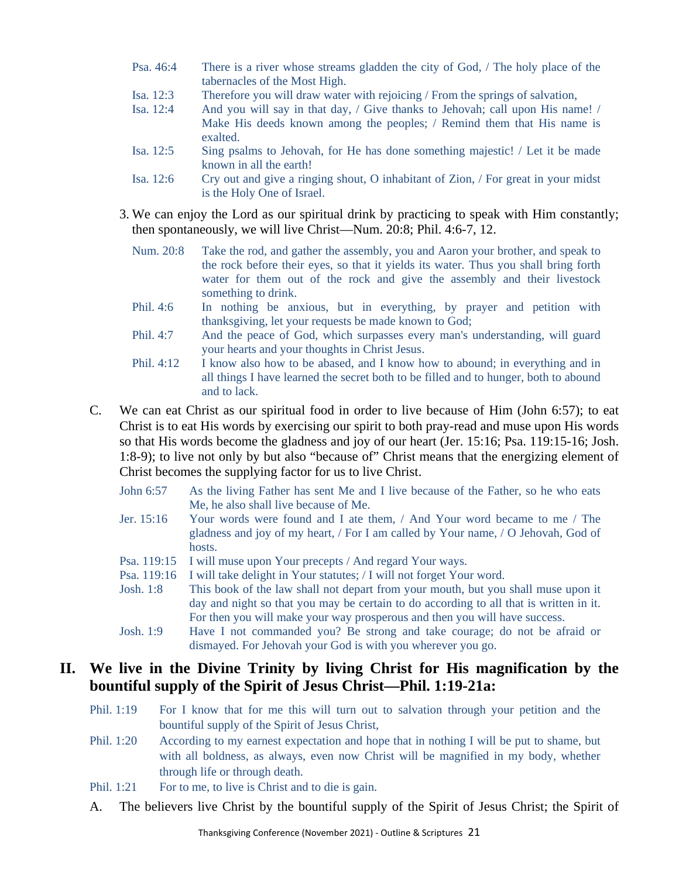- Psa. 46:4 There is a river whose streams gladden the city of God, / The holy place of the tabernacles of the Most High.
- Isa. 12:3 Therefore you will draw water with rejoicing / From the springs of salvation,
- Isa. 12:4 And you will say in that day, / Give thanks to Jehovah; call upon His name! / Make His deeds known among the peoples; / Remind them that His name is exalted.
- Isa. 12:5 Sing psalms to Jehovah, for He has done something majestic! / Let it be made known in all the earth!
- Isa. 12:6 Cry out and give a ringing shout, O inhabitant of Zion, / For great in your midst is the Holy One of Israel.
- 3. We can enjoy the Lord as our spiritual drink by practicing to speak with Him constantly; then spontaneously, we will live Christ—Num. 20:8; Phil. 4:6-7, 12.
	- Num. 20:8 Take the rod, and gather the assembly, you and Aaron your brother, and speak to the rock before their eyes, so that it yields its water. Thus you shall bring forth water for them out of the rock and give the assembly and their livestock something to drink.
	- Phil. 4:6 In nothing be anxious, but in everything, by prayer and petition with thanksgiving, let your requests be made known to God;
	- Phil. 4:7 And the peace of God, which surpasses every man's understanding, will guard your hearts and your thoughts in Christ Jesus.
	- Phil. 4:12 I know also how to be abased, and I know how to abound; in everything and in all things I have learned the secret both to be filled and to hunger, both to abound and to lack.
- C. We can eat Christ as our spiritual food in order to live because of Him (John 6:57); to eat Christ is to eat His words by exercising our spirit to both pray-read and muse upon His words so that His words become the gladness and joy of our heart (Jer. 15:16; Psa. 119:15-16; Josh. 1:8-9); to live not only by but also "because of" Christ means that the energizing element of Christ becomes the supplying factor for us to live Christ.
	- John 6:57 As the living Father has sent Me and I live because of the Father, so he who eats Me, he also shall live because of Me.
	- Jer. 15:16 Your words were found and I ate them, / And Your word became to me / The gladness and joy of my heart, / For I am called by Your name, / O Jehovah, God of hosts.
	- Psa. 119:15 I will muse upon Your precepts / And regard Your ways.
	- Psa. 119:16 I will take delight in Your statutes; / I will not forget Your word.
	- Josh. 1:8 This book of the law shall not depart from your mouth, but you shall muse upon it day and night so that you may be certain to do according to all that is written in it. For then you will make your way prosperous and then you will have success.
	- Josh. 1:9 Have I not commanded you? Be strong and take courage; do not be afraid or dismayed. For Jehovah your God is with you wherever you go.

## **II. We live in the Divine Trinity by living Christ for His magnification by the bountiful supply of the Spirit of Jesus Christ—Phil. 1:19-21a:**

- Phil. 1:19 For I know that for me this will turn out to salvation through your petition and the bountiful supply of the Spirit of Jesus Christ,
- Phil. 1:20 According to my earnest expectation and hope that in nothing I will be put to shame, but with all boldness, as always, even now Christ will be magnified in my body, whether through life or through death.
- Phil. 1:21 For to me, to live is Christ and to die is gain.
- A. The believers live Christ by the bountiful supply of the Spirit of Jesus Christ; the Spirit of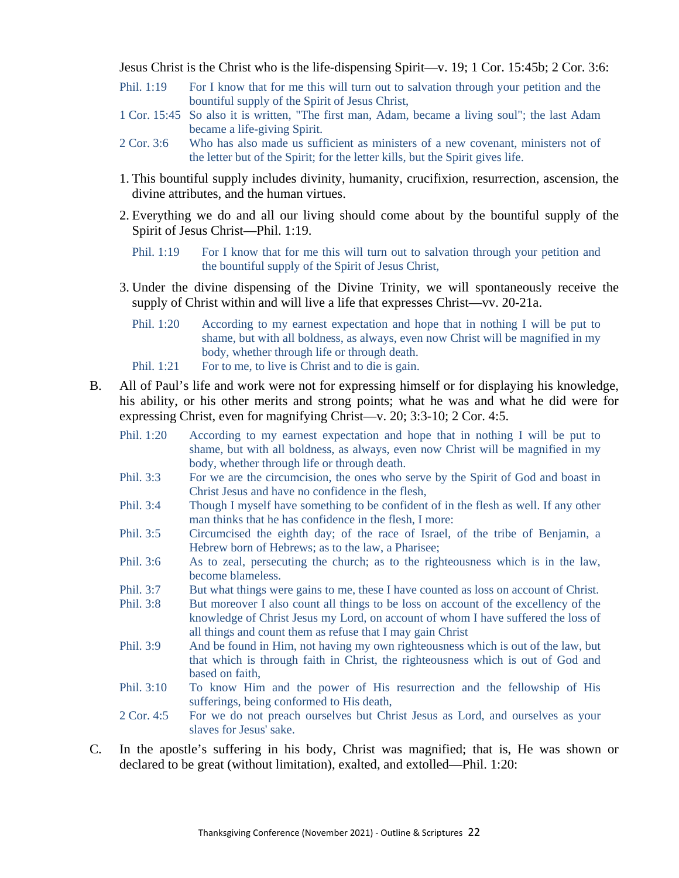Jesus Christ is the Christ who is the life-dispensing Spirit—v. 19; 1 Cor. 15:45b; 2 Cor. 3:6:

- Phil. 1:19 For I know that for me this will turn out to salvation through your petition and the bountiful supply of the Spirit of Jesus Christ,
- 1 Cor. 15:45 So also it is written, "The first man, Adam, became a living soul"; the last Adam became a life-giving Spirit.
- 2 Cor. 3:6 Who has also made us sufficient as ministers of a new covenant, ministers not of the letter but of the Spirit; for the letter kills, but the Spirit gives life.
- 1. This bountiful supply includes divinity, humanity, crucifixion, resurrection, ascension, the divine attributes, and the human virtues.
- 2. Everything we do and all our living should come about by the bountiful supply of the Spirit of Jesus Christ—Phil. 1:19.
	- Phil. 1:19 For I know that for me this will turn out to salvation through your petition and the bountiful supply of the Spirit of Jesus Christ,
- 3. Under the divine dispensing of the Divine Trinity, we will spontaneously receive the supply of Christ within and will live a life that expresses Christ—vv. 20-21a.
	- Phil. 1:20 According to my earnest expectation and hope that in nothing I will be put to shame, but with all boldness, as always, even now Christ will be magnified in my body, whether through life or through death.
	- Phil. 1:21 For to me, to live is Christ and to die is gain.
- B. All of Paul's life and work were not for expressing himself or for displaying his knowledge, his ability, or his other merits and strong points; what he was and what he did were for expressing Christ, even for magnifying Christ—v. 20; 3:3-10; 2 Cor. 4:5.
	- Phil. 1:20 According to my earnest expectation and hope that in nothing I will be put to shame, but with all boldness, as always, even now Christ will be magnified in my body, whether through life or through death.
	- Phil. 3:3 For we are the circumcision, the ones who serve by the Spirit of God and boast in Christ Jesus and have no confidence in the flesh,
	- Phil. 3:4 Though I myself have something to be confident of in the flesh as well. If any other man thinks that he has confidence in the flesh, I more:
	- Phil. 3:5 Circumcised the eighth day; of the race of Israel, of the tribe of Benjamin, a Hebrew born of Hebrews; as to the law, a Pharisee;
	- Phil. 3:6 As to zeal, persecuting the church; as to the righteousness which is in the law, become blameless.
	- Phil. 3:7 But what things were gains to me, these I have counted as loss on account of Christ.
	- Phil. 3:8 But moreover I also count all things to be loss on account of the excellency of the knowledge of Christ Jesus my Lord, on account of whom I have suffered the loss of all things and count them as refuse that I may gain Christ
	- Phil. 3:9 And be found in Him, not having my own righteousness which is out of the law, but that which is through faith in Christ, the righteousness which is out of God and based on faith,
	- Phil. 3:10 To know Him and the power of His resurrection and the fellowship of His sufferings, being conformed to His death,
	- 2 Cor. 4:5 For we do not preach ourselves but Christ Jesus as Lord, and ourselves as your slaves for Jesus' sake.
- C. In the apostle's suffering in his body, Christ was magnified; that is, He was shown or declared to be great (without limitation), exalted, and extolled—Phil. 1:20: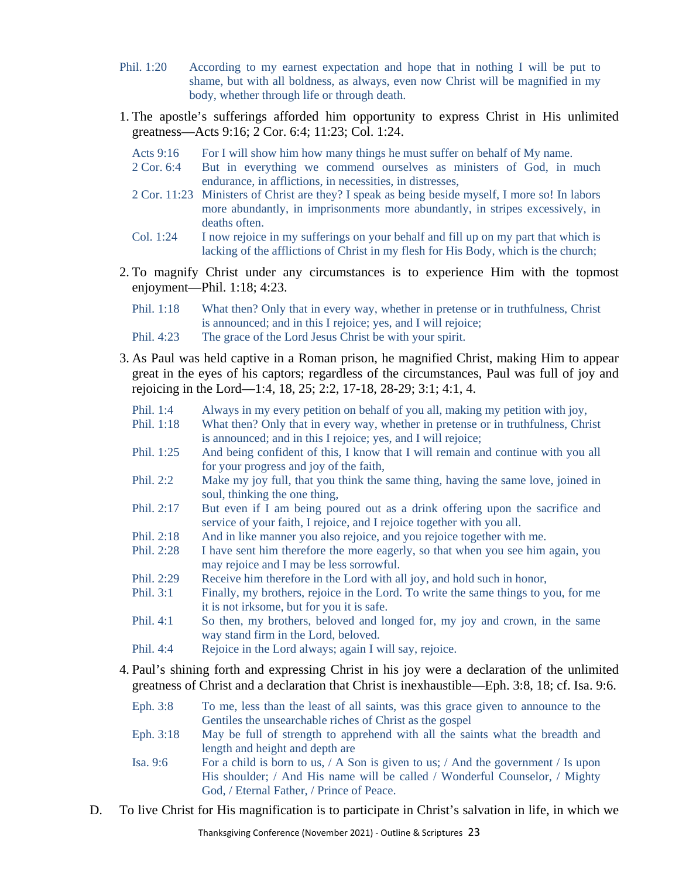- Phil. 1:20 According to my earnest expectation and hope that in nothing I will be put to shame, but with all boldness, as always, even now Christ will be magnified in my body, whether through life or through death.
- 1. The apostle's sufferings afforded him opportunity to express Christ in His unlimited greatness—Acts 9:16; 2 Cor. 6:4; 11:23; Col. 1:24.
	- Acts 9:16 For I will show him how many things he must suffer on behalf of My name.
	- 2 Cor. 6:4 But in everything we commend ourselves as ministers of God, in much endurance, in afflictions, in necessities, in distresses,
	- 2 Cor. 11:23 Ministers of Christ are they? I speak as being beside myself, I more so! In labors more abundantly, in imprisonments more abundantly, in stripes excessively, in deaths often.
	- Col. 1:24 I now rejoice in my sufferings on your behalf and fill up on my part that which is lacking of the afflictions of Christ in my flesh for His Body, which is the church;
- 2. To magnify Christ under any circumstances is to experience Him with the topmost enjoyment—Phil. 1:18; 4:23.
	- Phil. 1:18 What then? Only that in every way, whether in pretense or in truthfulness, Christ is announced; and in this I rejoice; yes, and I will rejoice;
	- Phil. 4:23 The grace of the Lord Jesus Christ be with your spirit.
- 3. As Paul was held captive in a Roman prison, he magnified Christ, making Him to appear great in the eyes of his captors; regardless of the circumstances, Paul was full of joy and rejoicing in the Lord—1:4, 18, 25; 2:2, 17-18, 28-29; 3:1; 4:1, 4.
	- Phil. 1:4 Always in my every petition on behalf of you all, making my petition with joy,
	- Phil. 1:18 What then? Only that in every way, whether in pretense or in truthfulness, Christ is announced; and in this I rejoice; yes, and I will rejoice;
	- Phil. 1:25 And being confident of this, I know that I will remain and continue with you all for your progress and joy of the faith,
	- Phil. 2:2 Make my joy full, that you think the same thing, having the same love, joined in soul, thinking the one thing,
	- Phil. 2:17 But even if I am being poured out as a drink offering upon the sacrifice and service of your faith, I rejoice, and I rejoice together with you all.
	- Phil. 2:18 And in like manner you also rejoice, and you rejoice together with me.
	- Phil. 2:28 I have sent him therefore the more eagerly, so that when you see him again, you may rejoice and I may be less sorrowful.
	- Phil. 2:29 Receive him therefore in the Lord with all joy, and hold such in honor,
	- Phil. 3:1 Finally, my brothers, rejoice in the Lord. To write the same things to you, for me it is not irksome, but for you it is safe.
	- Phil. 4:1 So then, my brothers, beloved and longed for, my joy and crown, in the same way stand firm in the Lord, beloved.
	- Phil. 4:4 Rejoice in the Lord always; again I will say, rejoice.
- 4. Paul's shining forth and expressing Christ in his joy were a declaration of the unlimited greatness of Christ and a declaration that Christ is inexhaustible—Eph. 3:8, 18; cf. Isa. 9:6.
	- Eph. 3:8 To me, less than the least of all saints, was this grace given to announce to the Gentiles the unsearchable riches of Christ as the gospel
	- Eph. 3:18 May be full of strength to apprehend with all the saints what the breadth and length and height and depth are
	- Isa. 9:6 For a child is born to us, / A Son is given to us; / And the government / Is upon His shoulder; / And His name will be called / Wonderful Counselor, / Mighty God, / Eternal Father, / Prince of Peace.
- D. To live Christ for His magnification is to participate in Christ's salvation in life, in which we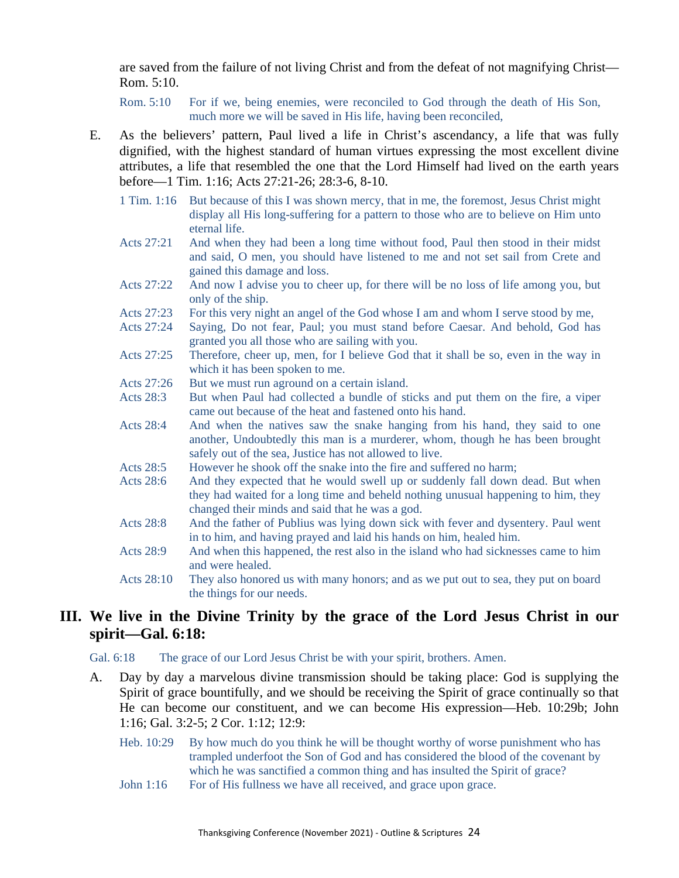are saved from the failure of not living Christ and from the defeat of not magnifying Christ— Rom. 5:10.

Rom. 5:10 For if we, being enemies, were reconciled to God through the death of His Son, much more we will be saved in His life, having been reconciled,

- E. As the believers' pattern, Paul lived a life in Christ's ascendancy, a life that was fully dignified, with the highest standard of human virtues expressing the most excellent divine attributes, a life that resembled the one that the Lord Himself had lived on the earth years before—1 Tim. 1:16; Acts 27:21-26; 28:3-6, 8-10.
	- 1 Tim. 1:16 But because of this I was shown mercy, that in me, the foremost, Jesus Christ might display all His long-suffering for a pattern to those who are to believe on Him unto eternal life.
	- Acts 27:21 And when they had been a long time without food, Paul then stood in their midst and said, O men, you should have listened to me and not set sail from Crete and gained this damage and loss.
	- Acts 27:22 And now I advise you to cheer up, for there will be no loss of life among you, but only of the ship.
	- Acts 27:23 For this very night an angel of the God whose I am and whom I serve stood by me,
	- Acts 27:24 Saying, Do not fear, Paul; you must stand before Caesar. And behold, God has granted you all those who are sailing with you.
	- Acts 27:25 Therefore, cheer up, men, for I believe God that it shall be so, even in the way in which it has been spoken to me.
	- Acts 27:26 But we must run aground on a certain island.
	- Acts 28:3 But when Paul had collected a bundle of sticks and put them on the fire, a viper came out because of the heat and fastened onto his hand.
	- Acts 28:4 And when the natives saw the snake hanging from his hand, they said to one another, Undoubtedly this man is a murderer, whom, though he has been brought safely out of the sea, Justice has not allowed to live.
	- Acts 28:5 However he shook off the snake into the fire and suffered no harm;
	- Acts 28:6 And they expected that he would swell up or suddenly fall down dead. But when they had waited for a long time and beheld nothing unusual happening to him, they changed their minds and said that he was a god.
	- Acts 28:8 And the father of Publius was lying down sick with fever and dysentery. Paul went in to him, and having prayed and laid his hands on him, healed him.
	- Acts 28:9 And when this happened, the rest also in the island who had sicknesses came to him and were healed.
	- Acts 28:10 They also honored us with many honors; and as we put out to sea, they put on board the things for our needs.

### **III. We live in the Divine Trinity by the grace of the Lord Jesus Christ in our spirit—Gal. 6:18:**

Gal. 6:18 The grace of our Lord Jesus Christ be with your spirit, brothers. Amen.

- A. Day by day a marvelous divine transmission should be taking place: God is supplying the Spirit of grace bountifully, and we should be receiving the Spirit of grace continually so that He can become our constituent, and we can become His expression—Heb. 10:29b; John 1:16; Gal. 3:2-5; 2 Cor. 1:12; 12:9:
	- Heb. 10:29 By how much do you think he will be thought worthy of worse punishment who has trampled underfoot the Son of God and has considered the blood of the covenant by which he was sanctified a common thing and has insulted the Spirit of grace?
	- John 1:16 For of His fullness we have all received, and grace upon grace.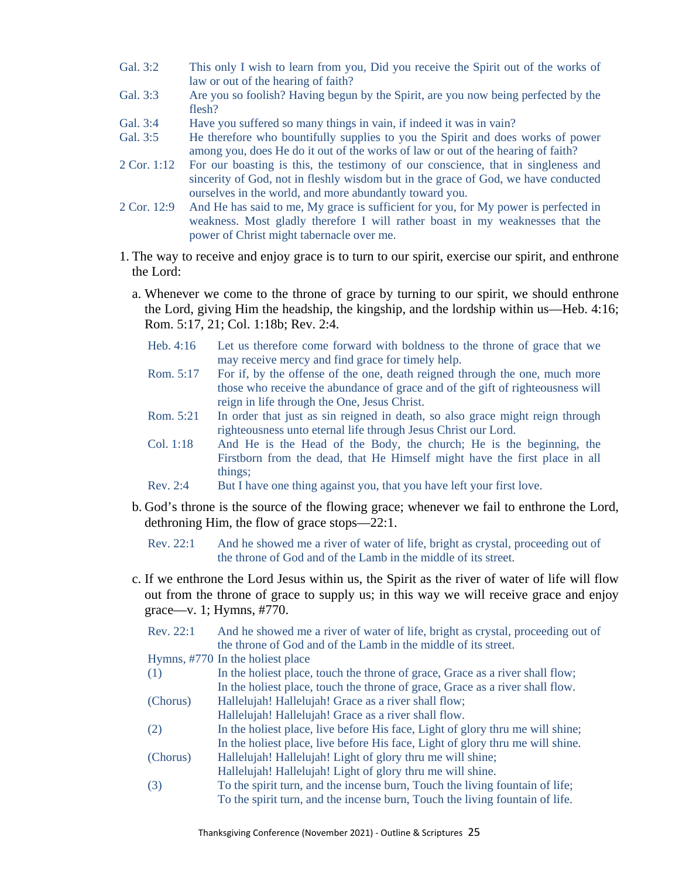- Gal. 3:2 This only I wish to learn from you, Did you receive the Spirit out of the works of law or out of the hearing of faith?
- Gal. 3:3 Are you so foolish? Having begun by the Spirit, are you now being perfected by the flesh?
- Gal. 3:4 Have you suffered so many things in vain, if indeed it was in vain?
- Gal. 3:5 He therefore who bountifully supplies to you the Spirit and does works of power among you, does He do it out of the works of law or out of the hearing of faith?
- 2 Cor. 1:12 For our boasting is this, the testimony of our conscience, that in singleness and sincerity of God, not in fleshly wisdom but in the grace of God, we have conducted ourselves in the world, and more abundantly toward you.
- 2 Cor. 12:9 And He has said to me, My grace is sufficient for you, for My power is perfected in weakness. Most gladly therefore I will rather boast in my weaknesses that the power of Christ might tabernacle over me.
- 1. The way to receive and enjoy grace is to turn to our spirit, exercise our spirit, and enthrone the Lord:
	- a. Whenever we come to the throne of grace by turning to our spirit, we should enthrone the Lord, giving Him the headship, the kingship, and the lordship within us—Heb. 4:16; Rom. 5:17, 21; Col. 1:18b; Rev. 2:4.
		- Heb. 4:16 Let us therefore come forward with boldness to the throne of grace that we may receive mercy and find grace for timely help.
		- Rom. 5:17 For if, by the offense of the one, death reigned through the one, much more those who receive the abundance of grace and of the gift of righteousness will reign in life through the One, Jesus Christ.
		- Rom. 5:21 In order that just as sin reigned in death, so also grace might reign through righteousness unto eternal life through Jesus Christ our Lord.
		- Col. 1:18 And He is the Head of the Body, the church; He is the beginning, the Firstborn from the dead, that He Himself might have the first place in all things;
		- Rev. 2:4 But I have one thing against you, that you have left your first love.
	- b. God's throne is the source of the flowing grace; whenever we fail to enthrone the Lord, dethroning Him, the flow of grace stops—22:1.
		- Rev. 22:1 And he showed me a river of water of life, bright as crystal, proceeding out of the throne of God and of the Lamb in the middle of its street.
	- c. If we enthrone the Lord Jesus within us, the Spirit as the river of water of life will flow out from the throne of grace to supply us; in this way we will receive grace and enjoy grace—v. 1; Hymns, #770.
		- Rev. 22:1 And he showed me a river of water of life, bright as crystal, proceeding out of the throne of God and of the Lamb in the middle of its street. Hymns, #770 In the holiest place (1) In the holiest place, touch the throne of grace, Grace as a river shall flow; In the holiest place, touch the throne of grace, Grace as a river shall flow. (Chorus) Hallelujah! Hallelujah! Grace as a river shall flow; Hallelujah! Hallelujah! Grace as a river shall flow. (2) In the holiest place, live before His face, Light of glory thru me will shine; In the holiest place, live before His face, Light of glory thru me will shine. (Chorus) Hallelujah! Hallelujah! Light of glory thru me will shine; Hallelujah! Hallelujah! Light of glory thru me will shine. (3) To the spirit turn, and the incense burn, Touch the living fountain of life; To the spirit turn, and the incense burn, Touch the living fountain of life.